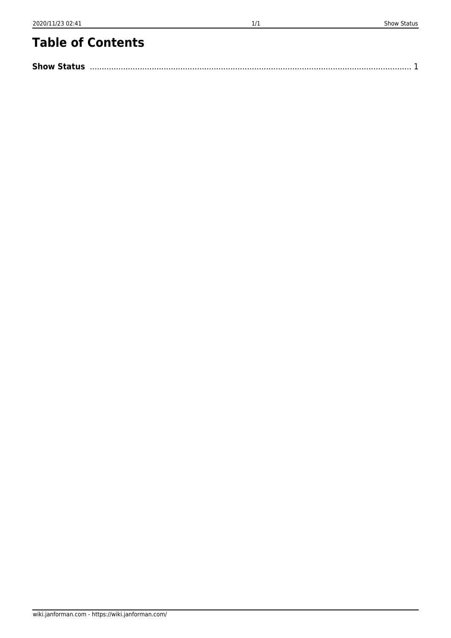## **Table of Contents**

| <b>Show Status</b> |  |
|--------------------|--|
|                    |  |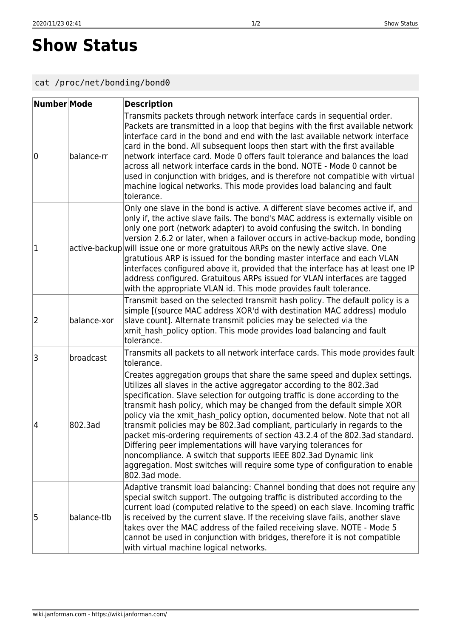## <span id="page-1-0"></span>**Show Status**

## cat /proc/net/bonding/bond0

| Number Mode |             | <b>Description</b>                                                                                                                                                                                                                                                                                                                                                                                                                                                                                                                                                                                                                                                                                                                                                                              |
|-------------|-------------|-------------------------------------------------------------------------------------------------------------------------------------------------------------------------------------------------------------------------------------------------------------------------------------------------------------------------------------------------------------------------------------------------------------------------------------------------------------------------------------------------------------------------------------------------------------------------------------------------------------------------------------------------------------------------------------------------------------------------------------------------------------------------------------------------|
| 10          | balance-rr  | Transmits packets through network interface cards in sequential order.<br>Packets are transmitted in a loop that begins with the first available network<br>interface card in the bond and end with the last available network interface<br>card in the bond. All subsequent loops then start with the first available<br>network interface card. Mode 0 offers fault tolerance and balances the load<br>across all network interface cards in the bond. NOTE - Mode 0 cannot be<br>used in conjunction with bridges, and is therefore not compatible with virtual<br>machine logical networks. This mode provides load balancing and fault<br>tolerance.                                                                                                                                       |
| 1           |             | Only one slave in the bond is active. A different slave becomes active if, and<br>only if, the active slave fails. The bond's MAC address is externally visible on<br>only one port (network adapter) to avoid confusing the switch. In bonding<br>version 2.6.2 or later, when a failover occurs in active-backup mode, bonding<br>active-backup will issue one or more gratuitous ARPs on the newly active slave. One<br>gratutious ARP is issued for the bonding master interface and each VLAN<br>interfaces configured above it, provided that the interface has at least one IP<br>address configured. Gratuitous ARPs issued for VLAN interfaces are tagged<br>with the appropriate VLAN id. This mode provides fault tolerance.                                                         |
| 2           | balance-xor | Transmit based on the selected transmit hash policy. The default policy is a<br>simple [(source MAC address XOR'd with destination MAC address) modulo<br>slave count]. Alternate transmit policies may be selected via the<br>xmit hash policy option. This mode provides load balancing and fault<br>tolerance.                                                                                                                                                                                                                                                                                                                                                                                                                                                                               |
| 3           | broadcast   | Transmits all packets to all network interface cards. This mode provides fault<br>tolerance.                                                                                                                                                                                                                                                                                                                                                                                                                                                                                                                                                                                                                                                                                                    |
| 4           | 802.3ad     | Creates aggregation groups that share the same speed and duplex settings.<br>Utilizes all slaves in the active aggregator according to the 802.3ad<br>specification. Slave selection for outgoing traffic is done according to the<br>transmit hash policy, which may be changed from the default simple XOR<br>policy via the xmit hash policy option, documented below. Note that not all<br>transmit policies may be 802.3ad compliant, particularly in regards to the<br>packet mis-ordering requirements of section 43.2.4 of the 802.3ad standard.<br>Differing peer implementations will have varying tolerances for<br>noncompliance. A switch that supports IEEE 802.3ad Dynamic link<br>aggregation. Most switches will require some type of configuration to enable<br>802.3ad mode. |
| 5           | balance-tlb | Adaptive transmit load balancing: Channel bonding that does not require any<br>special switch support. The outgoing traffic is distributed according to the<br>current load (computed relative to the speed) on each slave. Incoming traffic<br>is received by the current slave. If the receiving slave fails, another slave<br>takes over the MAC address of the failed receiving slave. NOTE - Mode 5<br>cannot be used in conjunction with bridges, therefore it is not compatible<br>with virtual machine logical networks.                                                                                                                                                                                                                                                                |